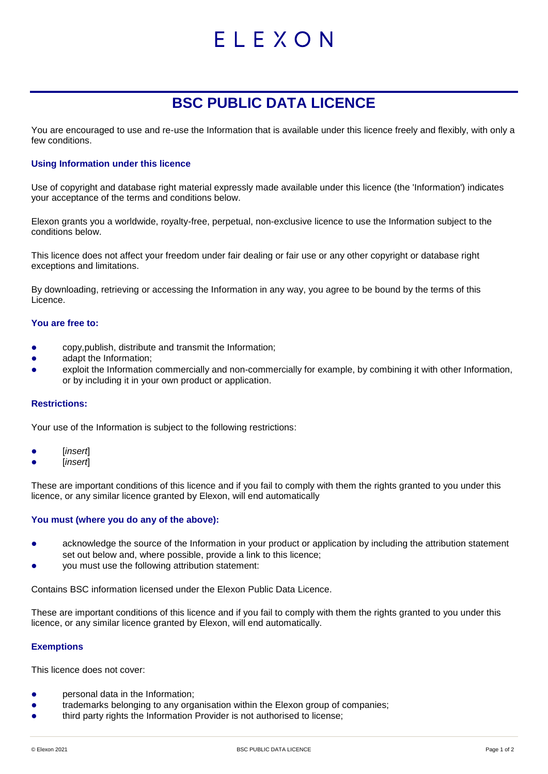# ELEXON

# **BSC PUBLIC DATA LICENCE**

You are encouraged to use and re-use the Information that is available under this licence freely and flexibly, with only a few conditions.

# **Using Information under this licence**

Use of copyright and database right material expressly made available under this licence (the 'Information') indicates your acceptance of the terms and conditions below.

Elexon grants you a worldwide, royalty-free, perpetual, non-exclusive licence to use the Information subject to the conditions below.

This licence does not affect your freedom under fair dealing or fair use or any other copyright or database right exceptions and limitations.

By downloading, retrieving or accessing the Information in any way, you agree to be bound by the terms of this Licence.

#### **You are free to:**

- copy,publish, distribute and transmit the Information;
- adapt the Information;
- exploit the Information commercially and non-commercially for example, by combining it with other Information, or by including it in your own product or application.

# **Restrictions:**

Your use of the Information is subject to the following restrictions:

- [*insert*]
- [*insert*]

These are important conditions of this licence and if you fail to comply with them the rights granted to you under this licence, or any similar licence granted by Elexon, will end automatically

# **You must (where you do any of the above):**

- acknowledge the source of the Information in your product or application by including the attribution statement set out below and, where possible, provide a link to this licence;
- you must use the following attribution statement:

Contains BSC information licensed under the Elexon Public Data Licence.

These are important conditions of this licence and if you fail to comply with them the rights granted to you under this licence, or any similar licence granted by Elexon, will end automatically.

# **Exemptions**

This licence does not cover:

- personal data in the Information;
- trademarks belonging to any organisation within the Elexon group of companies;
- third party rights the Information Provider is not authorised to license;